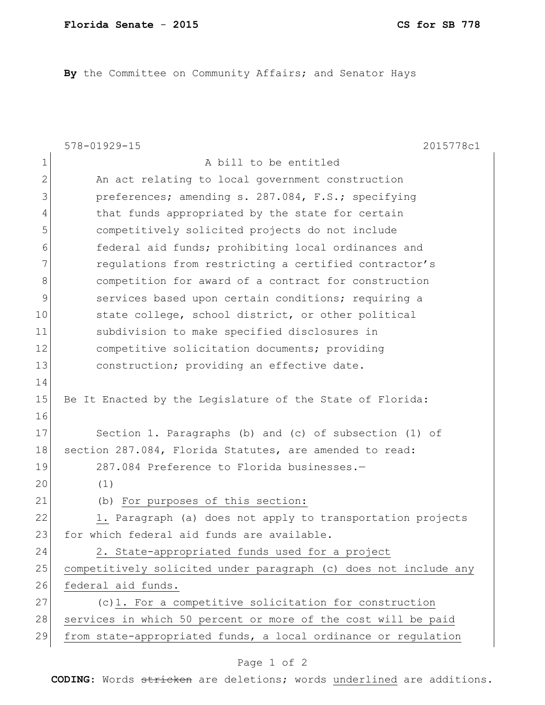**By** the Committee on Community Affairs; and Senator Hays

|              | $578 - 01929 - 15$<br>2015778c1                                  |
|--------------|------------------------------------------------------------------|
| $\mathbf 1$  | A bill to be entitled                                            |
| $\mathbf{2}$ | An act relating to local government construction                 |
| 3            | preferences; amending s. 287.084, F.S.; specifying               |
| 4            | that funds appropriated by the state for certain                 |
| 5            | competitively solicited projects do not include                  |
| 6            | federal aid funds; prohibiting local ordinances and              |
| 7            | regulations from restricting a certified contractor's            |
| 8            | competition for award of a contract for construction             |
| 9            | services based upon certain conditions; requiring a              |
| 10           | state college, school district, or other political               |
| 11           | subdivision to make specified disclosures in                     |
| 12           | competitive solicitation documents; providing                    |
| 13           | construction; providing an effective date.                       |
| 14           |                                                                  |
| 15           | Be It Enacted by the Legislature of the State of Florida:        |
| 16           |                                                                  |
| 17           | Section 1. Paragraphs (b) and (c) of subsection (1) of           |
| 18           | section 287.084, Florida Statutes, are amended to read:          |
| 19           | 287.084 Preference to Florida businesses.-                       |
| 20           | (1)                                                              |
| 21           | (b) For purposes of this section:                                |
| 22           | 1. Paragraph (a) does not apply to transportation projects       |
| 23           | for which federal aid funds are available.                       |
| 24           | 2. State-appropriated funds used for a project                   |
| 25           | competitively solicited under paragraph (c) does not include any |
| 26           | federal aid funds.                                               |
| 27           | (c)1. For a competitive solicitation for construction            |
| 28           | services in which 50 percent or more of the cost will be paid    |
| 29           | from state-appropriated funds, a local ordinance or regulation   |
|              |                                                                  |

## Page 1 of 2

**CODING**: Words stricken are deletions; words underlined are additions.